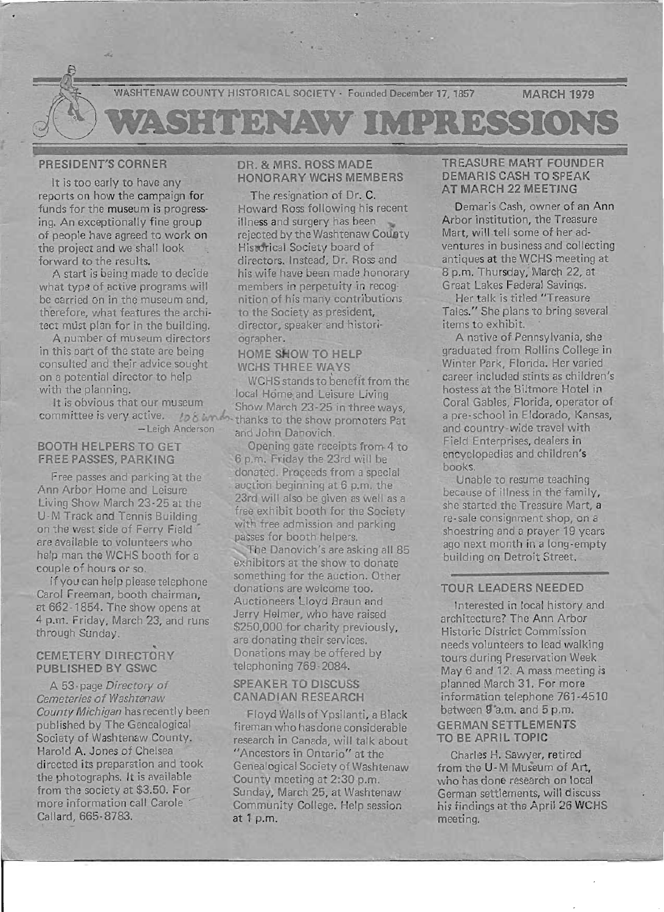

# PRESIDENT'S CORNER

It is too early to have any reports on how the campaign for funds for the museum is progressing. An exceptionally fine group of people have agreed to work on the project and we shall look forward to the results.

A start is being made to decide what type of active programs will be carried on in the museum and, therefore, what features the architect must plan for in the building.

A number of museum directors in this part of the state are being consulted and their advice sought on a potential director to help with the planning.

It is obvious that our museum - Leigh Anderson

#### BOOTH HELPERS TO GET **FREE PASSES, PARKING**

Free passes and parking at the Ann Arbor Home and Leisure Living Show March 23-25 at the U-M Track and Tennis Building on the west side of Ferry Field are available to volunteers who help man the WCHS booth for a couple of hours or so.

If you can help please telephone Carol Freeman, booth chairman, at 662 -1854. The show opens at 4 p.m. Friday, March 23, and runs through Sunday.

### .. CEMETERY DIRECTORY PUBLISHED BY GSWC

A 53-page Directory of Cemeteries of Washtenaw County Michigan has recently been published by The Genealogical Society of Washtenaw County. Harold A. Jones of Chelsea directed its preparation and took the photographs. It is available from the society at \$3.50. For more information call Carole Callard, 665-8783.

## DR. & MRS. ROSS MADE HONORARY WCHS MEMBERS

The resignation of Dr. C. Howard Ross following his recent illness and surgery has been rejected by the Washtenaw County Historical Society board of directors. Instead, Dr. Ross and his wife have been made honorary members in perpetuity in recognition of his many contributions to the Society as president, director, speaker and historiographer.

#### HOME SHOW TO HELP WCHS THREE WAYS

committee is very active.  $\log \delta$  known thanks to the show promoters Pat. WCHS stands to benefit from the local Home and Leisure Living Show March 23-25 in three ways, and John Danovich.

> Opening gate receipts from 4 to 6 p.m. Friday the 23rd will be donated. Proceeds from a special auct ion beginning at 6 p.m. the 23rd will also be given as well as a free exhibit booth for the Society with free admission and parking passes for booth helpers. The Danovich's are asking all 85 exhibitors at the show to donate something for the auction. Other donations are welcome too. Auctioneers lloyd Braun and Jerry Helmer, who have raised \$250,000 for charity previously, are donating their services. Donations may be offered by telephoning 769-2084.

# SPEAKER TO DISCUSS CANADIAN RESEARCH

Floyd Walls of Ypsilanti, a Black fireman who has done considerable research in Canada, will talk about "Ancestors in Ontario" at the Genealogical Society of Washtenaw 'County meeting at 2:30 p.m. Sunday, March 25, at Washtenaw Community College. Help session at 1 p.m.

## TREASURE MART FOUNDER DEMARIS CASH TO SPEAK AT MARCH 22 MEETING

Demaris Cash, owner of an Ann Arbor institution, the Treasure Mart, will tell some of her adventures in business and collecting antiques at the WCHS meeting at 8 p.m. Thursday, March 22, at Great Lakes Federal Savings.

Her talk is titled "Treasure Tales." She plans to bring several items to exhibit.

A native of Pennsylvania, she graduated from Rollins College in Winter Park, Florida. Her varied career included stints as children's hostess at the Biltmore Hotel in Coral Gables, Florida, operator of a pre-school in Eldorado, Kansas, and country-wide travel with Field Enterprises, dealers in encyclopedias and children's books.

Unable to resume teaching because of illness in the family, she started the Treasure Mart, a re-sale consignment shop, on a shoestring and a prayer 19 years ago next month in a long-empty building on Detroit Street.

## TOUR LEADERS NEEDED

Interested in local history and architecture? The Ann Arbor Historic District Commission needs volunteers to lead walking tours during Preservation Week May 6 and 12. A mass meeting is planned March 31. For more information telephone 761-4510 between g·a.m. and 5 p.m. GERMAN SETTLEMENTS TO BE APRIL TOPIC

Charles H. Sawyer, retired from the U -M Museum of Art, who has done research on local German settlements, will discuss his findings at the April 26 WCHS meeting.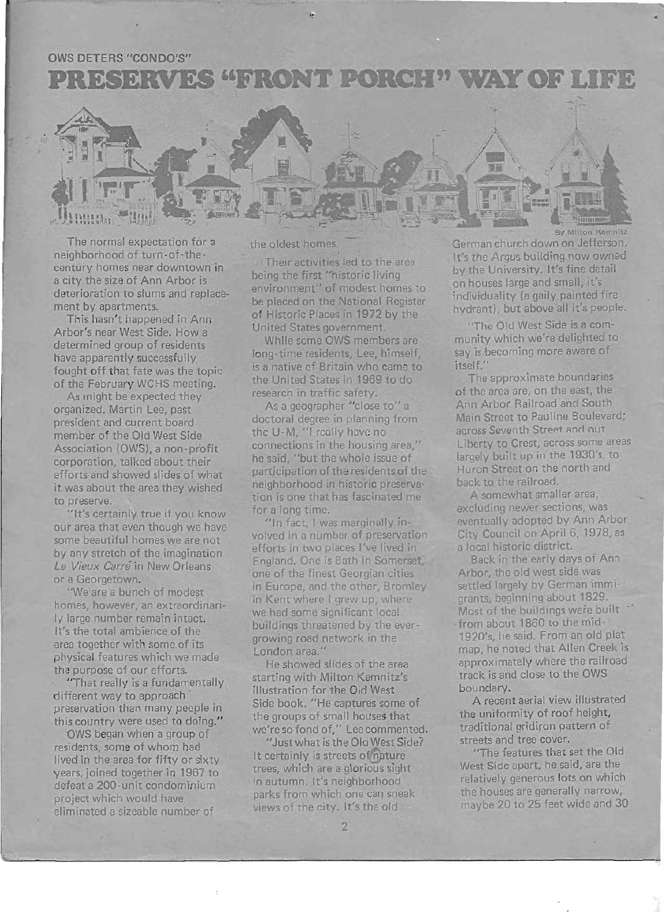# **OWS DETERS "CONDO'S"**

PRESERVES "FRONT PORCH" WAY OF LIFE



The normal expectation for a neighborhood of turn-of-thecentury homes near downtown in a city the size of Ann Arbor is deterioration to slums and replacement by apartments.

This hasn't happened in Ann Arbor's near West Side. How a determined group of residents have apparently successfully fought off that fate was the topic of the February WCHS meeting.

As might be expected they organized. Martin Lee, past president and current board member of the Old West Side Association (OWS), a non-profit corporation, talked about their efforts and showed slides of what it was about the area they wished to preserve.

"It's certainly true if you know our area that even though we have some beautiful homes we are not by any stretch of the imagination *Le Vieux* Carre in New Orleans or a Georgetown.

"We are a bunch of modest homes, however, an extraordinarily large number remain intact. It's the total ambience of the area together with some of its physical features which we made the purpose of our efforts.

"That really is a fundamentally different way to approach preservation than many people in this country were used to doing."

OWS began when a group of residents, some of whom had lived in the area for fifty or sixty years, joined together in 1967 to defeat a 200-unit condominium project which would have eliminated a sizeable number of

l

the oldest homes.

Their activities led to the area being the first "historic living environment" of modest homes to be placed on the National Register of Historic Places in 1972 by the United States government.

While some OWS members are long-time residents, Lee, himself, is a native of Britain who came to the United States in 1969 to do research in traffic safety.

As a geographer "close to" a doctoral degree in planning from the U-M, "1 really have no connections in the housing area," he said, "but the whole issue of participation of the residents of the neighborhood in historic preservation is one that has fascinated me for a long time.

"In fact, I was marginally involved in a number of preservation efforts in two places I've lived in England. One is Bath in Somerset one of the finest Georgian cities in Europe, and the other, Bromley in Kent where I grew up, where we had some significant local buildings threatened by the evergrowing road network in the London area."

He showed slides of the area starting with Milton Kemnitz's illustration for the Old West Side book. "He captures some of the groups of small houses that we're so fond of," Lee commented.

"Just what is the Old West Side? It certainly is streets of nature trees, which are a glorious sight in autumn. It's neighborhood parks from which one can sneak views of the city. It's the old

German church down on Jefferson. It's the Argus building now owned by the University. It's fine detail on houses large and small, it's individuality (a gaily painted fire hydrant), but above all it's people.

"The Old West Side is a community which we're delighted to say is, becoming more aware of itself."

The approximate boundaries of the area are, on the east, the Ann Arbor Railroad and South Main Street to Pauline Boulevard; across Seventh Street and out Liberty to Crest, across some areas largely built up in the 1930's, to Huron Street on the north and back to the railroad.

A somewhat smaller area, excluding newer sections, was eventually adopted by Ann Arbor City Council on April 6, 1978, as a local historic district.

Back in the early days of Ann Arbor, the old west side was settled largely by German immigrants, beginning about 1829. Most of the buildings were built from about 1860 to the mid-1920's, he said. From an old plat map, he noted that Allen Creek is approximately where the railroad track is and close to the OWS boundary.

A recent aerial view illustrated the uniformity of roof height, traditional gridiron pattern of streets and tree cover.

"The features that set the Old West Side apart, he said, are the relatively generous lots on which the houses are generally narrow, maybe 20 to 25 feet wide and 30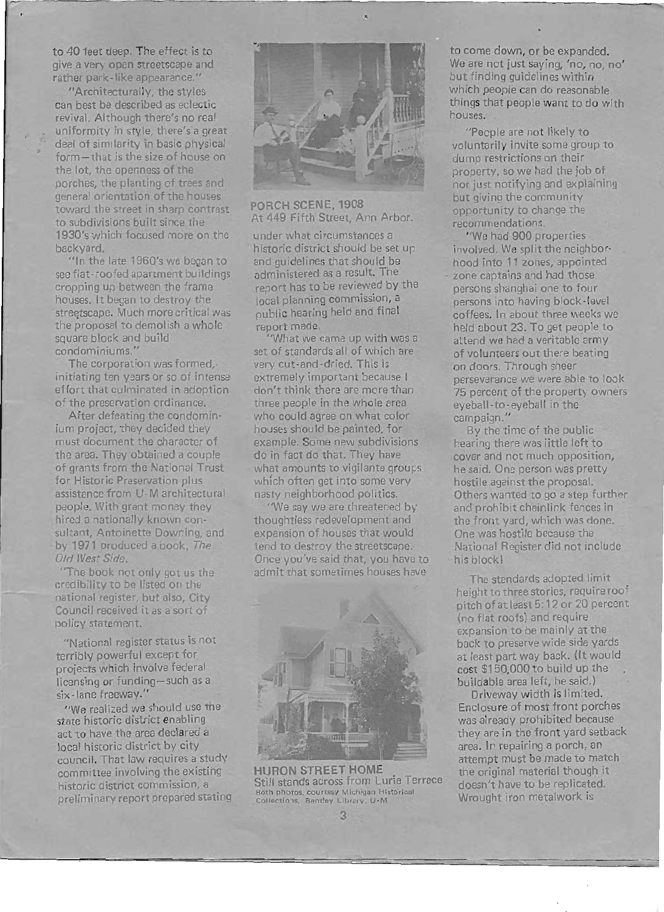to 40 feet deep. The effect is to give a very open streetscape and rather park-like appearance."

"Architecturally, the styles can best be described as eclectic revival. Although there's no real uniformity in style, there's a great deal of similarity in basic physical form-that is the size of house on the lot, the openness of the porches, the planting of trees and general orientation of the houses toward the street in sharp contrast to subdivisions built since the 1930's which focused more on the backyard.

"In the late 1960's we began to see flat-roofed apartment buildings cropping up between the frame houses. It began to destroy the streetscape. Much more critical was the proposal to demolish a whole square block and build condominiums. "

The corporation was formed, initiating ten years or so of intense effort that culminated in adoption of the preservation ordinance.

After defeating the condominium project, they decided they must document the character of the area. They obtained a couple of grants from the National Trust for Historic Preservation plus assistance from U-M architectural people. With grant money they hired a nationally known consultant, Antoinette Downing, and by 1971 produced a book, The *Old West Side.* 

"The book not only got us the credibilitv to be listed on the national register, but also, City Council received it as a sort of policy statement.

"National register status is not terribly powerful except for projects which involve federal licensing or funding-such as a six-lane freeway."

"We realized we should use the state historic district enabling act to have the area declared a local historic district by city council. That law requires a study committee involving the existing historic district commission, a preliminary report prepared stating



PORCH SCENE, 1908 At 449 Fifth Street, Ann Arbor.

under what circumstances a historic district should be set up and guidelines that should be administered as a result. The report has to be reviewed by the local planning commission, a public hearing held and final report made.

"What we came up with was a set of standards all of which are very cut-and-dried. This is extremely important because I don't think there are more than three people in the whole area who could agree on what color houses should be painted, for example. Some new subdivisions do in fact do that. They have what amounts to vigilante groups which often get into some very nasty neighborhood politics.

"We say we are threatened by thoughtless redevelopment and expansion of houses that would tend to destroy the streetscape. Once you've said that, you have to admit that sometimes houses have



HURON STREET HOME Still stands across from Lurie Terrace Both photos. courtesy Michigan Historical Collections, Bentley Library, U-M

3

to come down, or be expanded. We are not just saying, 'no, no, no' but finding guidelines within which people can do reasonable things that people want to do with houses. .

"People are not likely to voluntarily invite some group to dump restrictions on their property, so we had the job of not just notifying and explaining but giving the community opportunity to change the recommendations.

"We had 900 properties involved. We split the neighborhood into 11 zones, appointed zone captains and had those persons shanghai one to four persons into having block -level coffees. In about three weeks we held about 23. To get people to attend we had a veritable army of volunteers out there beating on doors. Through sheer perseverance we were able to look 75 percent of the property owners eyeball-to -eyeball in the campaign."

By the time of the public hearing there was little left to cover and not much opposition, he said. One person was pretty hostile against the proposal. Others wanted to go a step further and prohibit chainlink fences in the front yard, which was done. One was hostile because the National Register did not include his block!

The standards adopted limit height to three stories, require roof pitch of at least 5:12 or 20 percent (no flat roofs) and require expansion to be mainly at the back to preserve wide side yards at least part way back. (It would cost \$150,000 to build up the buildable area left, he said.)

Driveway width is limited. Enclosure of most front porches was already prohibited because they are in the front yard setback area. In repairing a porch, an attempt must be made to match the original material though it doesn't have to be replicated. Wrought iron metalwork is